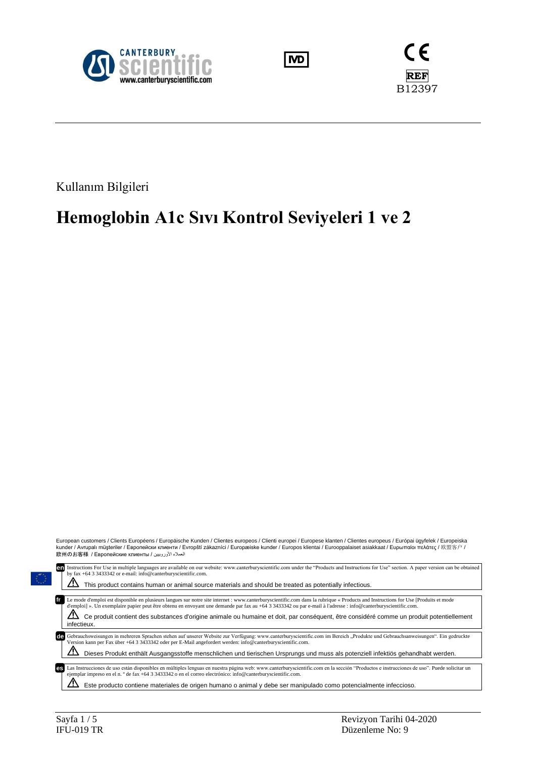





Kullanım Bilgileri

# **Hemoglobin A1c Sıvı Kontrol Seviyeleri 1 ve 2**



 $\Delta$  Este producto contiene materiales de origen humano o animal y debe ser manipulado como potencialmente infeccioso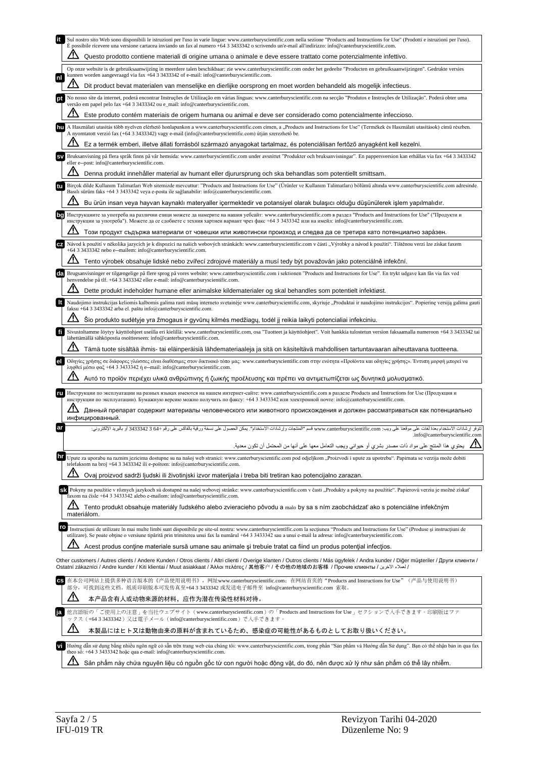| Sul nostro sito Web sono disponibili le istruzioni per l'uso in varie lingue: www.canterburyscientific.com nella sezione "Products and Instructions for Use" (Prodotti e istruzioni per l'uso).<br>È possibile ricevere una versione cartacea inviando un fax al numero +64 3 3433342 o scrivendo un'e-mail all'indirizzo: info@canterburyscientific.com.                                                            |
|----------------------------------------------------------------------------------------------------------------------------------------------------------------------------------------------------------------------------------------------------------------------------------------------------------------------------------------------------------------------------------------------------------------------|
| Questo prodotto contiene materiali di origine umana o animale e deve essere trattato come potenzialmente infettivo.                                                                                                                                                                                                                                                                                                  |
| Op onze website is de gebruiksaanwijzing in meerdere talen beschikbaar: zie www.canterburyscientific.com onder het gedeelte "Producten en gebruiksaanwijzingen". Gedrukte versies<br>kunnen worden aangevraagd via fax +64 3 3433342 of e-mail: info@canterburyscientific.com.<br>nl                                                                                                                                 |
| Dit product bevat materialen van menselijke en dierlijke oorsprong en moet worden behandeld als mogelijk infectieus.                                                                                                                                                                                                                                                                                                 |
| No nosso site da internet, poderá encontrar Instruções de Utilização em várias línguas: www.canterburyscientific.com na secção "Produtos e Instruções de Utilização". Poderá obter uma<br>versão em papel pelo fax +64 3 3433342 ou e_mail: info@canterburyscientific.com.                                                                                                                                           |
| Este produto contém materiais de origem humana ou animal e deve ser considerado como potencialmente infeccioso.                                                                                                                                                                                                                                                                                                      |
| A Használati utasítás több nyelven elérhető honlapunkon a www.canterburyscientific.com címen, a "Products and Instructions for Use" (Termékek és Használati utasítások) című részben.<br>A nyomtatott verzió fax (+64 3 3433342) vagy e-mail (info@canterburyscientific.com) útján szerezhető be.                                                                                                                    |
| Ez a termék emberi, illetve állati forrásból származó anyagokat tartalmaz, és potenciálisan fertőző anyagként kell kezelni.<br>Bruksanvisning på flera språk finns på vår hemsida: www.canterburyscientific.com under avsnittet "Produkter och bruksanvisningar". En pappersversion kan erhållas via fax +64 3 3433342                                                                                               |
| eller e--post: info@canterburyscientific.com.                                                                                                                                                                                                                                                                                                                                                                        |
| Denna produkt innehåller material av humant eller djurursprung och ska behandlas som potentiellt smittsam.<br>Birçok dilde Kullanım Talimatları Web sitemizde mevcuttur: "Products and Instructions for Use" (Ürünler ve Kullanım Talimatları) bölümü altında www.canterburyscientific.com adresinde.                                                                                                                |
| Basılı sürüm faks +64 3 3433342 veya e-posta ile sağlanabilir: info@canterburyscientific.com.                                                                                                                                                                                                                                                                                                                        |
| Bu ürün insan veya hayvan kaynaklı materyaller içermektedir ve potansiyel olarak bulaşıcı olduğu düşünülerek işlem yapılmalıdır.                                                                                                                                                                                                                                                                                     |
| Инструкциите за употреба на различни езици можете да намерите на нашия уебсайт: www.canterburyscientific.com в раздел "Products and Instructions for Use" ("Продукти и<br>bg<br>инструкции за употреба"). Можете да се сдобиете с техния хартиен вариант чрез факс +64 3 3433342 или на имейл: info@canterburyscientific.com.                                                                                        |
| Този продукт съдържа материали от човешки или животински произход и следва да се третира като потенциално зара̀зен.                                                                                                                                                                                                                                                                                                  |
| Návod k použití v několika jazycích je k dispozici na našich webových stránkách: www.canterburyscientific.com v části "Výrobky a návod k použití". Tištěnou verzi lze získat faxem<br>+64 3 3433342 nebo e--mailem: info@canterburyscientific.com.                                                                                                                                                                   |
| Tento výrobek obsahuje lidské nebo zvířecí zdrojové materiály a musí tedy být považován jako potenciálně infekční.                                                                                                                                                                                                                                                                                                   |
| Brugsanvisninger er tilgængelige på flere sprog på vores website: www.canterburyscientific.com i sektionen "Products and Instructions for Use". En trykt udgave kan fås via fax ved<br>henvendelse på tlf. +64 3 3433342 eller e-mail: info@canterburyscientific.com.                                                                                                                                                |
| Dette produkt indeholder humane eller animalske kildematerialer og skal behandles som potentielt infektiøst.                                                                                                                                                                                                                                                                                                         |
| It<br>Naudojimo instrukcijas keliomis kalbomis galima rasti mūsų interneto svetainėje www.canterburyscientific.com, skyriuje "Produktai ir naudojimo instrukcijos". Popierinę versiją galima gauti<br>faksu +64 3 3433342 arba el. paštu info@canterburyscientific.com.                                                                                                                                              |
| Šio produkto sudėtyje yra žmogaus ir gyvūnų kilmės medžiagų, todėl jį reikia laikyti potencialiai infekciniu.                                                                                                                                                                                                                                                                                                        |
| fi<br>Sivustoltamme löytyy käyttöohjeet useilla eri kielillä: www.canterburyscientific.com, osa "Tuotteet ja käyttöohjeet". Voit hankkia tulostetun version faksaamalla numeroon +64 3 3433342 tai<br>lähettämällä sähköpostia osoitteeseen: info@canterburyscientific.com.                                                                                                                                          |
| Tämä tuote sisältää ihmis- tai eläinperäisiä lähdemateriaaleja ja sitä on käsiteltävä mahdollisen tartuntavaaran aiheuttavana tuotteena.                                                                                                                                                                                                                                                                             |
| Οδηγίες χρήσης σε διάφορες γλώσσες είναι διαθέσιμες στον δικτυακό τόπο μας: www.canterburyscientific.com στην ενότητα «Προϊόντα και οδηγίες χρήσης». Έντυπη μορφή μπορεί να<br>el<br>ληφθεί μέσω φαξ +64 3 3433342 ή e--mail: info@canterburyscientific.com.                                                                                                                                                         |
| Αυτό το προϊόν περιέχει υλικά ανθρώπινης ή ζωικής προέλευσης και πρέπει να αντιμετωπίζεται ως δυνητικά μολυσματικό.                                                                                                                                                                                                                                                                                                  |
| Инструкции по эксплуатации на разных языках имеются на нашем интернет-сайте: www.canterburyscientific.com в разделе Products and Instructions for Use (Продукция и<br>ru<br>инструкции по эксплуатации). Бумажную версию можно получить по факсу: +64 3 3433342 или электронной почте: info@canterburyscientific.com.                                                                                                |
| Данный препарат содержит материалы человеческого или животного происхождения и должен рассматриваться как потенциально<br>инфицированный.                                                                                                                                                                                                                                                                            |
| ar<br>تقوفر إرشادات الاستخدام بعدة لغلت على موقعنا على ويب: www.canterburyscientific.com قسم "المنتجات وإرشادات الاستخدام". يمكن الحصول على نسخة ورقية بالفاكس على رقم +64 3433342 أو بالبريد الإلكتروني:<br>.info@canterburyscientific.com                                                                                                                                                                          |
| يحتوي هذا المنتج على مواد ذات مصدر بشري أو حيواني ويجب التعامل معها على أنها من المحتمل أن تكون معدية.                                                                                                                                                                                                                                                                                                               |
| hr<br>Upute za uporabu na raznim jezicima dostupne su na našoj web stranici: www.canterburyscientific.com pod odjeljkom "Proizvodi i upute za upotrebu". Papirnata se verzija može dobiti<br>telefaksom na broj +64 3 3433342 ili e-poštom: info@canterburyscientific.com.                                                                                                                                           |
| Ovaj proizvod sadrži ljudski ili životinjski izvor materijala i treba biti tretiran kao potencijalno zarazan.                                                                                                                                                                                                                                                                                                        |
| SA Pokyny na použitie v rôznych jazykoch sú dostupné na našej webovej stránke: www.canterburyscientific.com v časti "Produkty a pokyny na použitie". Papierovú verziu je možné získať                                                                                                                                                                                                                                |
| faxom na čísle +64 3 3433342 alebo e-mailom: info@canterburyscientific.com.<br>Tento produkt obsahuje materiály ľudského alebo zvieracieho pôvodu a malo by sa s ním zaobchádzať ako s potenciálne infekčným                                                                                                                                                                                                         |
| materiálom.                                                                                                                                                                                                                                                                                                                                                                                                          |
|                                                                                                                                                                                                                                                                                                                                                                                                                      |
| ro<br>Instructiuni de utilizare în mai multe limbi sunt disponibile pe site-ul nostru: www.canterburyscientific.com la sectiunea "Products and Instructions for Use" (Produse și instructiuni de<br>utilizare). Se poate obține o versiune tipărită prin trimiterea unui fax la numărul +64 3 3433342 sau a unui e-mail la adresa: info@canterburyscientific.com.                                                    |
| Acest produs contine materiale sursă umane sau animale și trebuie tratat ca fiind un produs potențial infecțios.                                                                                                                                                                                                                                                                                                     |
| Other customers / Autres clients / Andere Kunden / Otros clients / Altri clienti / Overige klanten / Outros clients / Más ügyfelek / Andra kunder / Diğer müşteriler / Други клиенти /<br>Ostatní zákazníci / Аndre kunder / Kiti klientai / Muut asiakkaat / Άλλοι πελάτες / 其他客户 / その他の地域のお客様 / Прочие клиенты / كاملاء الأخرين / Ostatní zákazníci / Andre kunder / Kiti klientai / Миut asiakkaat / Άλλοι πελάτε |
| 在本公司网站上提供多种语言版本的《产品使用说明书》, 网址www.canterburyscientific.com; 在网站首页的"Products and Instructions for Use"(产品与使用说明书)<br>部分, 可找到这些文档。纸质印刷版本可发传真至+64 3 3433342 或发送电子邮件至 info@canterburyscientific.com 索取。                                                                                                                                                                                                                    |
| <u>/I\</u><br>本产品含有人或动物来源的材料,应作为潜在传染性材料对待。                                                                                                                                                                                                                                                                                                                                                                           |
| 他言語版の「ご使用上の注意」を当社ウェブサイト(www.canterburyscientific.com)の「Products and Instructions for Use」セクションで入手できます。印刷版はファ<br>ックス(+64 3 3433342)又は電子メール(info@canterburyscientific.com)で入手できます。                                                                                                                                                                                                                                     |
| 本製品にはヒト又は動物由来の原料が含まれているため、感染症の可能性があるものとしてお取り扱いください。                                                                                                                                                                                                                                                                                                                                                                  |
| V Hướng dẫn sử dụng bằng nhiều ngôn ngữ có sẵn trên trang web của chúng tôi: www.canterburyscientific.com, trong phần "Sản phầm và Hướng dẫn Sử dụng". Bạn có thề nhận bản in qua fax<br>theo số: +64 3 3433342 hoặc qua e-mail: info@canterburyscientific.com.                                                                                                                                                      |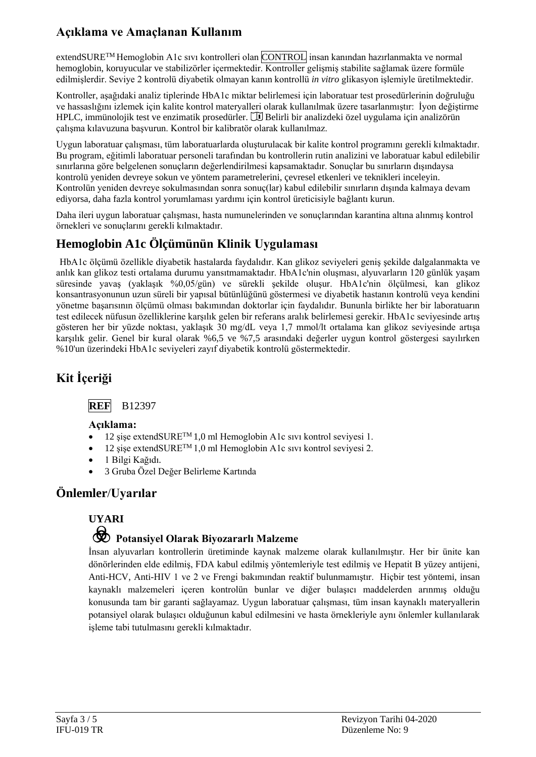## **Açıklama ve Amaçlanan Kullanım**

extendSURETM Hemoglobin A1c sıvı kontrolleri olan CONTROL insan kanından hazırlanmakta ve normal hemoglobin, koruyucular ve stabilizörler içermektedir. Kontroller gelişmiş stabilite sağlamak üzere formüle edilmişlerdir. Seviye 2 kontrolü diyabetik olmayan kanın kontrollü *in vitro* glikasyon işlemiyle üretilmektedir.

Kontroller, aşağıdaki analiz tiplerinde HbA1c miktar belirlemesi için laboratuar test prosedürlerinin doğruluğu ve hassaslığını izlemek için kalite kontrol materyalleri olarak kullanılmak üzere tasarlanmıştır: İyon değiştirme  $HPLC$ , immünolojik test ve enzimatik prosedürler.  $\Box$  Belirli bir analizdeki özel uygulama için analizörün çalışma kılavuzuna başvurun. Kontrol bir kalibratör olarak kullanılmaz.

Uygun laboratuar çalışması, tüm laboratuarlarda oluşturulacak bir kalite kontrol programını gerekli kılmaktadır. Bu program, eğitimli laboratuar personeli tarafından bu kontrollerin rutin analizini ve laboratuar kabul edilebilir sınırlarına göre belgelenen sonuçların değerlendirilmesi kapsamaktadır. Sonuçlar bu sınırların dışındaysa kontrolü yeniden devreye sokun ve yöntem parametrelerini, çevresel etkenleri ve teknikleri inceleyin. Kontrolün yeniden devreye sokulmasından sonra sonuç(lar) kabul edilebilir sınırların dışında kalmaya devam ediyorsa, daha fazla kontrol yorumlaması yardımı için kontrol üreticisiyle bağlantı kurun.

Daha ileri uygun laboratuar çalışması, hasta numunelerinden ve sonuçlarından karantina altına alınmış kontrol örnekleri ve sonuçlarını gerekli kılmaktadır.

## **Hemoglobin A1c Ölçümünün Klinik Uygulaması**

HbA1c ölçümü özellikle diyabetik hastalarda faydalıdır. Kan glikoz seviyeleri geniş şekilde dalgalanmakta ve anlık kan glikoz testi ortalama durumu yansıtmamaktadır. HbA1c'nin oluşması, alyuvarların 120 günlük yaşam süresinde yavaş (yaklaşık %0,05/gün) ve sürekli şekilde oluşur. HbA1c'nin ölçülmesi, kan glikoz konsantrasyonunun uzun süreli bir yapısal bütünlüğünü göstermesi ve diyabetik hastanın kontrolü veya kendini yönetme başarısının ölçümü olması bakımından doktorlar için faydalıdır. Bununla birlikte her bir laboratuarın test edilecek nüfusun özelliklerine karşılık gelen bir referans aralık belirlemesi gerekir. HbA1c seviyesinde artış gösteren her bir yüzde noktası, yaklaşık 30 mg/dL veya 1,7 mmol/lt ortalama kan glikoz seviyesinde artışa karşılık gelir. Genel bir kural olarak %6,5 ve %7,5 arasındaki değerler uygun kontrol göstergesi sayılırken %10'un üzerindeki HbA1c seviyeleri zayıf diyabetik kontrolü göstermektedir.

# **Kit İçeriği**



## **Açıklama:**

- 12 şişe extendSURETM 1,0 ml Hemoglobin A1c sıvı kontrol seviyesi 1.
- 12 şişe extendSURETM 1,0 ml Hemoglobin A1c sıvı kontrol seviyesi 2.
- 1 Bilgi Kağıdı.
- 3 Gruba Özel Değer Belirleme Kartında

## **Önlemler**/**Uyarılar**

# **UYARI**

# F **Potansiyel Olarak Biyozararlı Malzeme**

İnsan alyuvarları kontrollerin üretiminde kaynak malzeme olarak kullanılmıştır. Her bir ünite kan dönörlerinden elde edilmiş, FDA kabul edilmiş yöntemleriyle test edilmiş ve Hepatit B yüzey antijeni, Anti-HCV, Anti-HIV 1 ve 2 ve Frengi bakımından reaktif bulunmamıştır. Hiçbir test yöntemi, insan kaynaklı malzemeleri içeren kontrolün bunlar ve diğer bulaşıcı maddelerden arınmış olduğu konusunda tam bir garanti sağlayamaz. Uygun laboratuar çalışması, tüm insan kaynaklı materyallerin potansiyel olarak bulaşıcı olduğunun kabul edilmesini ve hasta örnekleriyle aynı önlemler kullanılarak işleme tabi tutulmasını gerekli kılmaktadır.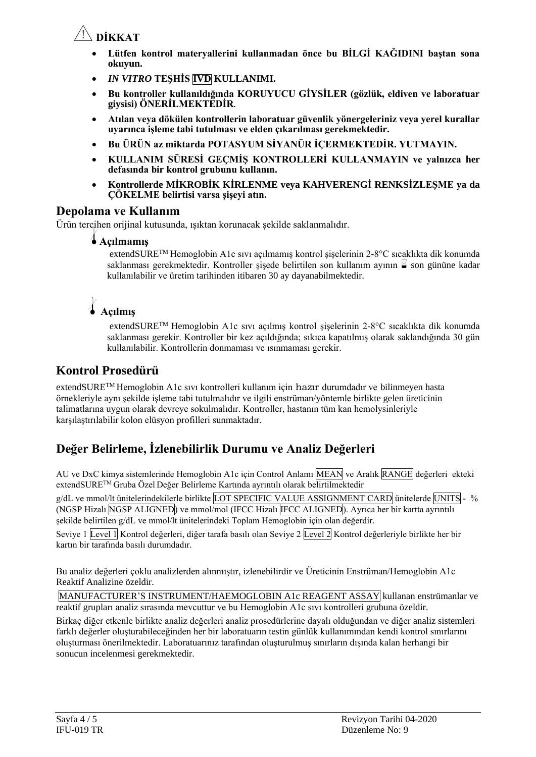

- **Lütfen kontrol materyallerini kullanmadan önce bu BİLGİ KAĞIDINI baştan sona okuyun.**
- *IN VITRO* **TEŞHİS IVD KULLANIMI.**
- **Bu kontroller kullanıldığında KORUYUCU GİYSİLER (gözlük, eldiven ve laboratuar giysisi) ÖNERİLMEKTEDİR***.*
- **Atılan veya dökülen kontrollerin laboratuar güvenlik yönergeleriniz veya yerel kurallar uyarınca işleme tabi tutulması ve elden çıkarılması gerekmektedir.**
- **Bu ÜRÜN az miktarda POTASYUM SİYANÜR İÇERMEKTEDİR. YUTMAYIN.**
- **KULLANIM SÜRESİ GEÇMİŞ KONTROLLERİ KULLANMAYIN ve yalnızca her defasında bir kontrol grubunu kullanın.**
- **Kontrollerde MİKROBİK KİRLENME veya KAHVERENGİ RENKSİZLEŞME ya da ÇÖKELME belirtisi varsa şişeyi atın.**

## **Depolama ve Kullanım**

Ürün tercihen orijinal kutusunda, ışıktan korunacak şekilde saklanmalıdır.

#### l**Açılmamış**

extendSURETM Hemoglobin A1c sıvı açılmamış kontrol şişelerinin 2-8°C sıcaklıkta dik konumda saklanması gerekmektedir. Kontroller sisede belirtilen son kullanım ayının  $\frac{1}{2}$  son gününe kadar kullanılabilir ve üretim tarihinden itibaren 30 ay dayanabilmektedir.

# l **Açılmış**

extendSURETM Hemoglobin A1c sıvı açılmış kontrol şişelerinin 2-8°C sıcaklıkta dik konumda saklanması gerekir. Kontroller bir kez açıldığında; sıkıca kapatılmış olarak saklandığında 30 gün kullanılabilir. Kontrollerin donmaması ve ısınmaması gerekir.

## **Kontrol Prosedürü**

extendSURETM Hemoglobin A1c sıvı kontrolleri kullanım için hazır durumdadır ve bilinmeyen hasta örnekleriyle aynı şekilde işleme tabi tutulmalıdır ve ilgili enstrüman/yöntemle birlikte gelen üreticinin talimatlarına uygun olarak devreye sokulmalıdır. Kontroller, hastanın tüm kan hemolysinleriyle karşılaştırılabilir kolon elüsyon profilleri sunmaktadır.

## **Değer Belirleme, İzlenebilirlik Durumu ve Analiz Değerleri**

AU ve DxC kimya sistemlerinde Hemoglobin A1c için Control Anlamı MEAN ve Aralık RANGE değerleri ekteki extendSURETM Gruba Özel Değer Belirleme Kartında ayrıntılı olarak belirtilmektedir

g/dL ve mmol/lt ünitelerindekilerle birlikte LOT SPECIFIC VALUE ASSIGNMENT CARD ünitelerde UNITS - % (NGSP Hizalı NGSP ALIGNED) ve mmol/mol (IFCC Hizalı IFCC ALIGNED). Ayrıca her bir kartta ayrıntılı şekilde belirtilen g/dL ve mmol/lt ünitelerindeki Toplam Hemoglobin için olan değerdir.

Seviye 1 Level 1 Kontrol değerleri, diğer tarafa basılı olan Seviye 2 Level 2 Kontrol değerleriyle birlikte her bir kartın bir tarafında basılı durumdadır.

Bu analiz değerleri çoklu analizlerden alınmıştır, izlenebilirdir ve Üreticinin Enstrüman/Hemoglobin A1c Reaktif Analizine özeldir.

MANUFACTURER'S INSTRUMENT/HAEMOGLOBIN A1c REAGENT ASSAY kullanan enstrümanlar ve reaktif grupları analiz sırasında mevcuttur ve bu Hemoglobin A1c sıvı kontrolleri grubuna özeldir.

Birkaç diğer etkenle birlikte analiz değerleri analiz prosedürlerine dayalı olduğundan ve diğer analiz sistemleri farklı değerler oluşturabileceğinden her bir laboratuarın testin günlük kullanımından kendi kontrol sınırlarını oluşturması önerilmektedir. Laboratuarınız tarafından oluşturulmuş sınırların dışında kalan herhangi bir sonucun incelenmesi gerekmektedir.